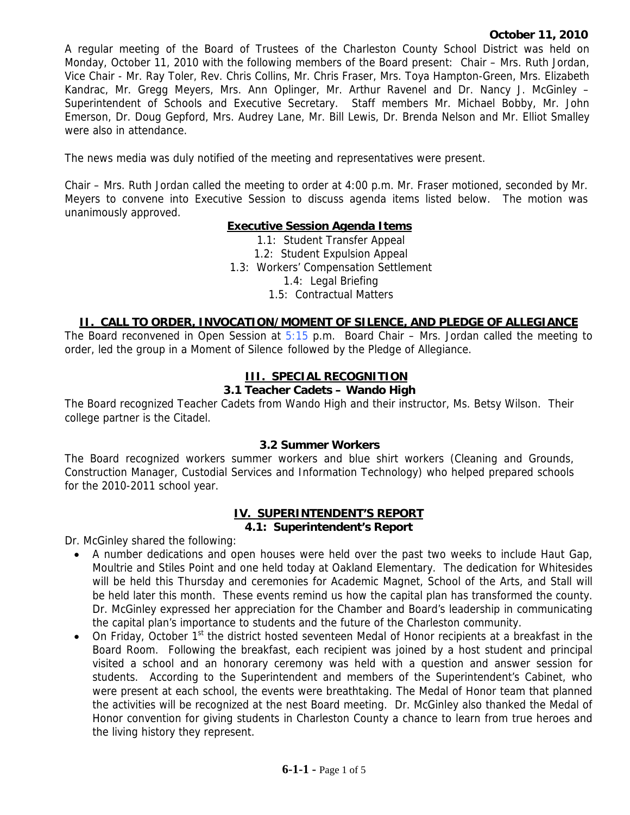A regular meeting of the Board of Trustees of the Charleston County School District was held on Monday, October 11, 2010 with the following members of the Board present: Chair – Mrs. Ruth Jordan, Vice Chair - Mr. Ray Toler, Rev. Chris Collins, Mr. Chris Fraser, Mrs. Toya Hampton-Green, Mrs. Elizabeth Kandrac, Mr. Gregg Meyers, Mrs. Ann Oplinger, Mr. Arthur Ravenel and Dr. Nancy J. McGinley – Superintendent of Schools and Executive Secretary. Staff members Mr. Michael Bobby, Mr. John Emerson, Dr. Doug Gepford, Mrs. Audrey Lane, Mr. Bill Lewis, Dr. Brenda Nelson and Mr. Elliot Smalley were also in attendance.

The news media was duly notified of the meeting and representatives were present.

Chair – Mrs. Ruth Jordan called the meeting to order at 4:00 p.m. Mr. Fraser motioned, seconded by Mr. Meyers to convene into Executive Session to discuss agenda items listed below. The motion was unanimously approved.

### **Executive Session Agenda Items**

1.1: Student Transfer Appeal 1.2: Student Expulsion Appeal 1.3: Workers' Compensation Settlement 1.4: Legal Briefing 1.5: Contractual Matters

### **II. CALL TO ORDER, INVOCATION/MOMENT OF SILENCE, AND PLEDGE OF ALLEGIANCE**

The Board reconvened in Open Session at  $5:15$  p.m. Board Chair – Mrs. Jordan called the meeting to order, led the group in a Moment of Silence followed by the Pledge of Allegiance.

## **III. SPECIAL RECOGNITION**

### **3.1 Teacher Cadets – Wando High**

The Board recognized Teacher Cadets from Wando High and their instructor, Ms. Betsy Wilson. Their college partner is the Citadel.

### **3.2 Summer Workers**

The Board recognized workers summer workers and blue shirt workers (Cleaning and Grounds, Construction Manager, Custodial Services and Information Technology) who helped prepared schools for the 2010-2011 school year.

# **IV. SUPERINTENDENT'S REPORT**

### **4.1: Superintendent's Report**

Dr. McGinley shared the following:

- A number dedications and open houses were held over the past two weeks to include Haut Gap, Moultrie and Stiles Point and one held today at Oakland Elementary. The dedication for Whitesides will be held this Thursday and ceremonies for Academic Magnet, School of the Arts, and Stall will be held later this month. These events remind us how the capital plan has transformed the county. Dr. McGinley expressed her appreciation for the Chamber and Board's leadership in communicating the capital plan's importance to students and the future of the Charleston community.
- On Friday, October  $1<sup>st</sup>$  the district hosted seventeen Medal of Honor recipients at a breakfast in the Board Room. Following the breakfast, each recipient was joined by a host student and principal visited a school and an honorary ceremony was held with a question and answer session for students. According to the Superintendent and members of the Superintendent's Cabinet, who were present at each school, the events were breathtaking. The Medal of Honor team that planned the activities will be recognized at the nest Board meeting. Dr. McGinley also thanked the Medal of Honor convention for giving students in Charleston County a chance to learn from true heroes and the living history they represent.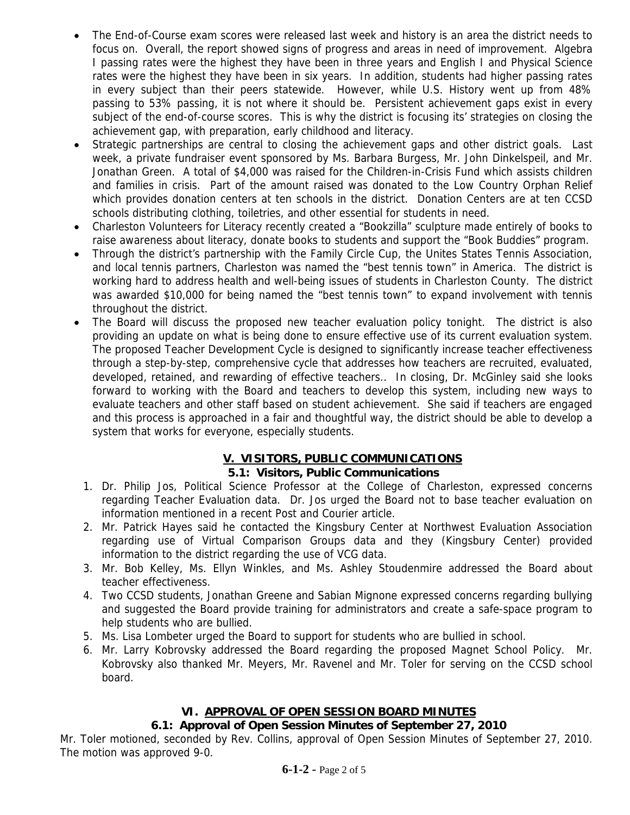- The End-of-Course exam scores were released last week and history is an area the district needs to focus on. Overall, the report showed signs of progress and areas in need of improvement. Algebra I passing rates were the highest they have been in three years and English I and Physical Science rates were the highest they have been in six years. In addition, students had higher passing rates in every subject than their peers statewide. However, while U.S. History went up from 48% passing to 53% passing, it is not where it should be. Persistent achievement gaps exist in every subject of the end-of-course scores. This is why the district is focusing its' strategies on closing the achievement gap, with preparation, early childhood and literacy.
- Strategic partnerships are central to closing the achievement gaps and other district goals. Last week, a private fundraiser event sponsored by Ms. Barbara Burgess, Mr. John Dinkelspeil, and Mr. Jonathan Green. A total of \$4,000 was raised for the Children-in-Crisis Fund which assists children and families in crisis. Part of the amount raised was donated to the Low Country Orphan Relief which provides donation centers at ten schools in the district. Donation Centers are at ten CCSD schools distributing clothing, toiletries, and other essential for students in need.
- Charleston Volunteers for Literacy recently created a "Bookzilla" sculpture made entirely of books to raise awareness about literacy, donate books to students and support the "Book Buddies" program.
- Through the district's partnership with the Family Circle Cup, the Unites States Tennis Association, and local tennis partners, Charleston was named the "best tennis town" in America. The district is working hard to address health and well-being issues of students in Charleston County. The district was awarded \$10,000 for being named the "best tennis town" to expand involvement with tennis throughout the district.
- The Board will discuss the proposed new teacher evaluation policy tonight. The district is also providing an update on what is being done to ensure effective use of its current evaluation system. The proposed Teacher Development Cycle is designed to significantly increase teacher effectiveness through a step-by-step, comprehensive cycle that addresses how teachers are recruited, evaluated, developed, retained, and rewarding of effective teachers.. In closing, Dr. McGinley said she looks forward to working with the Board and teachers to develop this system, including new ways to evaluate teachers and other staff based on student achievement. She said if teachers are engaged and this process is approached in a fair and thoughtful way, the district should be able to develop a system that works for everyone, especially students.

# **V. VISITORS, PUBLIC COMMUNICATIONS**

# **5.1: Visitors, Public Communications**

- 1. Dr. Philip Jos, Political Science Professor at the College of Charleston, expressed concerns regarding Teacher Evaluation data. Dr. Jos urged the Board not to base teacher evaluation on information mentioned in a recent Post and Courier article.
- 2. Mr. Patrick Hayes said he contacted the Kingsbury Center at Northwest Evaluation Association regarding use of Virtual Comparison Groups data and they (Kingsbury Center) provided information to the district regarding the use of VCG data.
- 3. Mr. Bob Kelley, Ms. Ellyn Winkles, and Ms. Ashley Stoudenmire addressed the Board about teacher effectiveness.
- 4. Two CCSD students, Jonathan Greene and Sabian Mignone expressed concerns regarding bullying and suggested the Board provide training for administrators and create a safe-space program to help students who are bullied.
- 5. Ms. Lisa Lombeter urged the Board to support for students who are bullied in school.
- 6. Mr. Larry Kobrovsky addressed the Board regarding the proposed Magnet School Policy. Mr. Kobrovsky also thanked Mr. Meyers, Mr. Ravenel and Mr. Toler for serving on the CCSD school board.

# **VI. APPROVAL OF OPEN SESSION BOARD MINUTES**

# **6.1: Approval of Open Session Minutes of September 27, 2010**

Mr. Toler motioned, seconded by Rev. Collins, approval of Open Session Minutes of September 27, 2010. The motion was approved 9-0.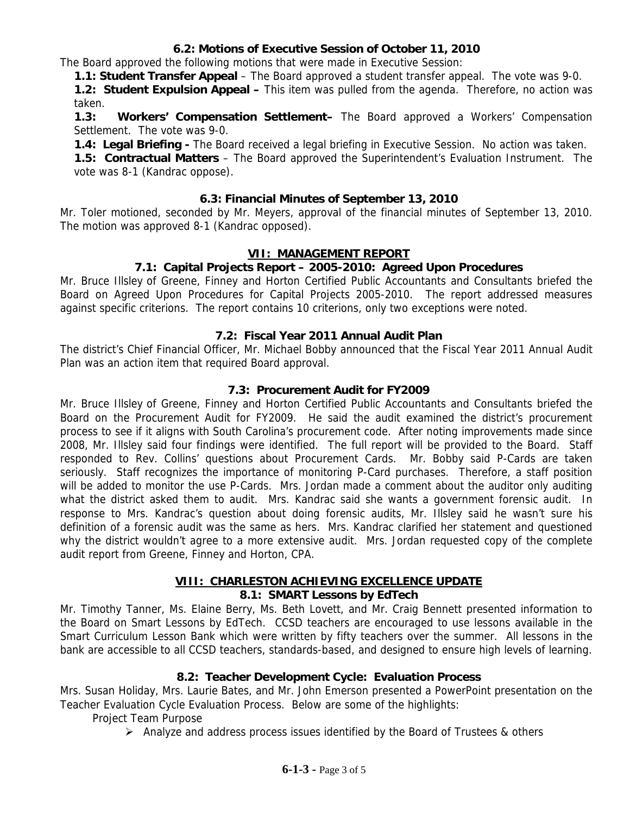# **6.2: Motions of Executive Session of October 11, 2010**

The Board approved the following motions that were made in Executive Session:

**1.1: Student Transfer Appeal** – The Board approved a student transfer appeal. The vote was 9-0.

**1.2: Student Expulsion Appeal –** This item was pulled from the agenda. Therefore, no action was taken.

**1.3: Workers' Compensation Settlement–** The Board approved a Workers' Compensation Settlement. The vote was 9-0.

**1.4: Legal Briefing -** The Board received a legal briefing in Executive Session. No action was taken.

**1.5: Contractual Matters** – The Board approved the Superintendent's Evaluation Instrument. The vote was 8-1 (Kandrac oppose).

## **6.3: Financial Minutes of September 13, 2010**

Mr. Toler motioned, seconded by Mr. Meyers, approval of the financial minutes of September 13, 2010. The motion was approved 8-1 (Kandrac opposed).

## **VII: MANAGEMENT REPORT**

## **7.1: Capital Projects Report – 2005-2010: Agreed Upon Procedures**

Mr. Bruce Illsley of Greene, Finney and Horton Certified Public Accountants and Consultants briefed the Board on Agreed Upon Procedures for Capital Projects 2005-2010. The report addressed measures against specific criterions. The report contains 10 criterions, only two exceptions were noted.

## **7.2: Fiscal Year 2011 Annual Audit Plan**

The district's Chief Financial Officer, Mr. Michael Bobby announced that the Fiscal Year 2011 Annual Audit Plan was an action item that required Board approval.

## **7.3: Procurement Audit for FY2009**

Mr. Bruce Illsley of Greene, Finney and Horton Certified Public Accountants and Consultants briefed the Board on the Procurement Audit for FY2009. He said the audit examined the district's procurement process to see if it aligns with South Carolina's procurement code. After noting improvements made since 2008, Mr. Illsley said four findings were identified. The full report will be provided to the Board. Staff responded to Rev. Collins' questions about Procurement Cards. Mr. Bobby said P-Cards are taken seriously. Staff recognizes the importance of monitoring P-Card purchases. Therefore, a staff position will be added to monitor the use P-Cards. Mrs. Jordan made a comment about the auditor only auditing what the district asked them to audit. Mrs. Kandrac said she wants a government forensic audit. In response to Mrs. Kandrac's question about doing forensic audits, Mr. Illsley said he wasn't sure his definition of a forensic audit was the same as hers. Mrs. Kandrac clarified her statement and questioned why the district wouldn't agree to a more extensive audit. Mrs. Jordan requested copy of the complete audit report from Greene, Finney and Horton, CPA.

### **VIII: CHARLESTON ACHIEVING EXCELLENCE UPDATE 8.1: SMART Lessons by EdTech**

Mr. Timothy Tanner, Ms. Elaine Berry, Ms. Beth Lovett, and Mr. Craig Bennett presented information to the Board on Smart Lessons by EdTech. CCSD teachers are encouraged to use lessons available in the Smart Curriculum Lesson Bank which were written by fifty teachers over the summer. All lessons in the bank are accessible to all CCSD teachers, standards-based, and designed to ensure high levels of learning.

## **8.2: Teacher Development Cycle: Evaluation Process**

Mrs. Susan Holiday, Mrs. Laurie Bates, and Mr. John Emerson presented a PowerPoint presentation on the Teacher Evaluation Cycle Evaluation Process. Below are some of the highlights:

Project Team Purpose

 $\triangleright$  Analyze and address process issues identified by the Board of Trustees & others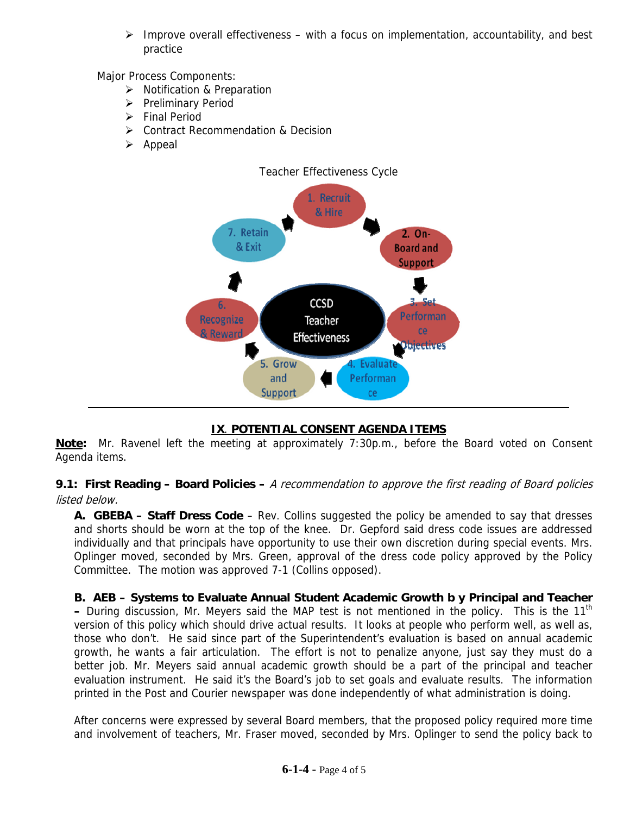$\triangleright$  Improve overall effectiveness – with a focus on implementation, accountability, and best practice

Major Process Components:

- ¾ Notification & Preparation
- ¾ Preliminary Period
- $\triangleright$  Final Period
- ¾ Contract Recommendation & Decision
- $\triangleright$  Appeal



# **IX**. **POTENTIAL CONSENT AGENDA ITEMS**

**Note:** Mr. Ravenel left the meeting at approximately 7:30p.m., before the Board voted on Consent Agenda items.

**9.1: First Reading – Board Policies –** A recommendation to approve the first reading of Board policies listed below.

**A. GBEBA – Staff Dress Code** – Rev. Collins suggested the policy be amended to say that dresses and shorts should be worn at the top of the knee. Dr. Gepford said dress code issues are addressed individually and that principals have opportunity to use their own discretion during special events. Mrs. Oplinger moved, seconded by Mrs. Green, approval of the dress code policy approved by the Policy Committee. The motion was approved 7-1 (Collins opposed).

**B. AEB – Systems to Evaluate Annual Student Academic Growth b y Principal and Teacher –** During discussion, Mr. Meyers said the MAP test is not mentioned in the policy. This is the 11th version of this policy which should drive actual results. It looks at people who perform well, as well as, those who don't. He said since part of the Superintendent's evaluation is based on annual academic growth, he wants a fair articulation. The effort is not to penalize anyone, just say they must do a better job. Mr. Meyers said annual academic growth should be a part of the principal and teacher evaluation instrument. He said it's the Board's job to set goals and evaluate results. The information printed in the Post and Courier newspaper was done independently of what administration is doing.

After concerns were expressed by several Board members, that the proposed policy required more time and involvement of teachers, Mr. Fraser moved, seconded by Mrs. Oplinger to send the policy back to